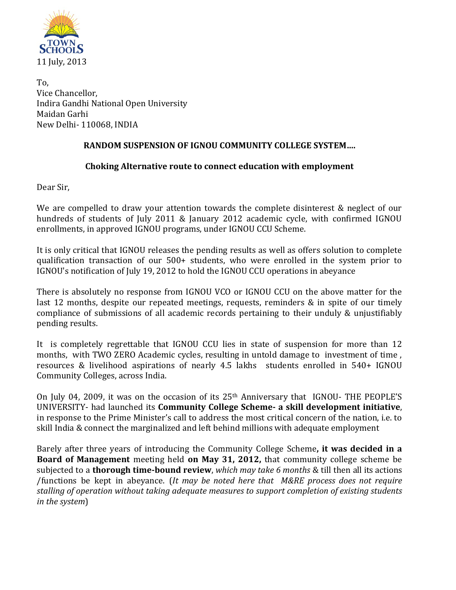

To, Vice Chancellor, Indira Gandhi National Open University Maidan Garhi New Delhi- 110068, INDIA

## **RANDOM SUSPENSION OF IGNOU COMMUNITY COLLEGE SYSTEM….**

## **Choking Alternative route to connect education with employment**

Dear Sir,

We are compelled to draw your attention towards the complete disinterest & neglect of our hundreds of students of July 2011 & January 2012 academic cycle, with confirmed IGNOU enrollments, in approved IGNOU programs, under IGNOU CCU Scheme.

It is only critical that IGNOU releases the pending results as well as offers solution to complete qualification transaction of our 500+ students, who were enrolled in the system prior to IGNOU's notification of July 19, 2012 to hold the IGNOU CCU operations in abeyance

There is absolutely no response from IGNOU VCO or IGNOU CCU on the above matter for the last 12 months, despite our repeated meetings, requests, reminders & in spite of our timely compliance of submissions of all academic records pertaining to their unduly & unjustifiably pending results.

It is completely regrettable that IGNOU CCU lies in state of suspension for more than 12 months, with TWO ZERO Academic cycles, resulting in untold damage to investment of time , resources & livelihood aspirations of nearly 4.5 lakhs students enrolled in 540+ IGNOU Community Colleges, across India.

On July 04, 2009, it was on the occasion of its 25th Anniversary that IGNOU- THE PEOPLE'S UNIVERSITY- had launched its **Community College Scheme- a skill development initiative**, in response to the Prime Minister's call to address the most critical concern of the nation, i.e. to skill India & connect the marginalized and left behind millions with adequate employment

Barely after three years of introducing the Community College Scheme**, it was decided in a Board of Management** meeting held **on May 31, 2012,** that community college scheme be subjected to a **thorough time-bound review**, *which may take 6 months* & till then all its actions /functions be kept in abeyance. (*It may be noted here that M&RE process does not require stalling of operation without taking adequate measures to support completion of existing students in the system*)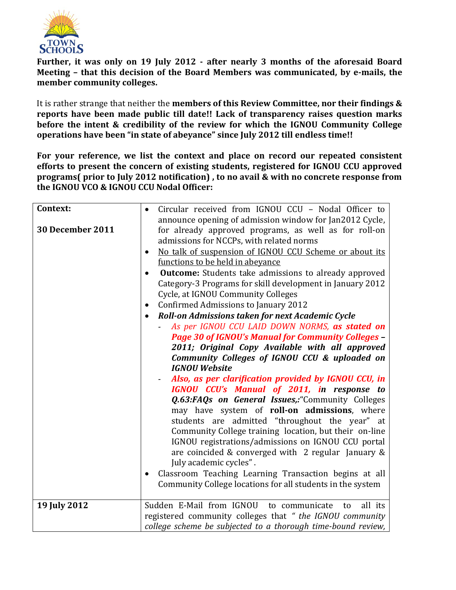

**Further, it was only on 19 July 2012 - after nearly 3 months of the aforesaid Board Meeting – that this decision of the Board Members was communicated, by e-mails, the member community colleges.** 

It is rather strange that neither the **members of this Review Committee, nor their findings & reports have been made public till date!! Lack of transparency raises question marks before the intent & credibility of the review for which the IGNOU Community College operations have been "in state of abeyance" since July 2012 till endless time!!**

**For your reference, we list the context and place on record our repeated consistent efforts to present the concern of existing students, registered for IGNOU CCU approved programs( prior to July 2012 notification) , to no avail & with no concrete response from the IGNOU VCO & IGNOU CCU Nodal Officer:**

| Context:                | Circular received from IGNOU CCU - Nodal Officer to                 |
|-------------------------|---------------------------------------------------------------------|
|                         | announce opening of admission window for Jan2012 Cycle,             |
| <b>30 December 2011</b> | for already approved programs, as well as for roll-on               |
|                         | admissions for NCCPs, with related norms                            |
|                         | No talk of suspension of IGNOU CCU Scheme or about its<br>$\bullet$ |
|                         | functions to be held in abeyance                                    |
|                         | <b>Outcome:</b> Students take admissions to already approved        |
|                         | Category-3 Programs for skill development in January 2012           |
|                         | Cycle, at IGNOU Community Colleges                                  |
|                         | Confirmed Admissions to January 2012<br>$\bullet$                   |
|                         | Roll-on Admissions taken for next Academic Cycle                    |
|                         | As per IGNOU CCU LAID DOWN NORMS, as stated on                      |
|                         | <b>Page 30 of IGNOU's Manual for Community Colleges -</b>           |
|                         | 2011; Original Copy Available with all approved                     |
|                         | Community Colleges of IGNOU CCU & uploaded on                       |
|                         | <b>IGNOU Website</b>                                                |
|                         | Also, as per clarification provided by IGNOU CCU, in                |
|                         | IGNOU CCU's Manual of 2011, in response to                          |
|                         | Q.63:FAQs on General Issues,:"Community Colleges                    |
|                         | may have system of roll-on admissions, where                        |
|                         | students are admitted "throughout the year" at                      |
|                         | Community College training location, but their on-line              |
|                         | IGNOU registrations/admissions on IGNOU CCU portal                  |
|                         | are coincided & converged with $\,$ 2 regular January &             |
|                         | July academic cycles".                                              |
|                         | Classroom Teaching Learning Transaction begins at all<br>$\bullet$  |
|                         | Community College locations for all students in the system          |
|                         |                                                                     |
| 19 July 2012            | Sudden E-Mail from IGNOU to communicate<br>all its<br>to            |
|                         | registered community colleges that " the IGNOU community            |
|                         | college scheme be subjected to a thorough time-bound review,        |
|                         |                                                                     |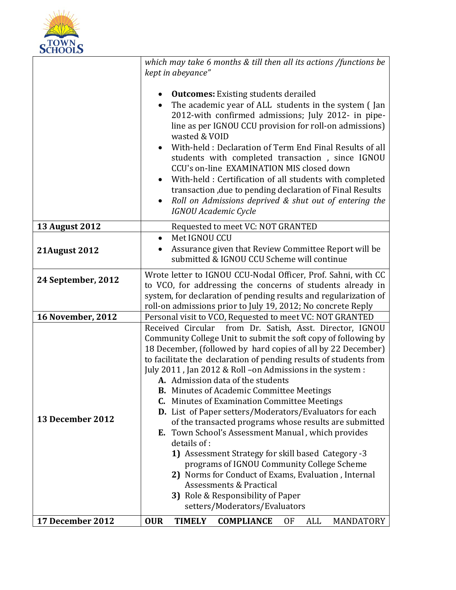

|                          | which may take 6 months & till then all its actions /functions be<br>kept in abeyance"                                                                                                                                                                                                                                                                                                                                                                                                                                                                                                                                                                                                                                                                                                                                                                                                                                                    |
|--------------------------|-------------------------------------------------------------------------------------------------------------------------------------------------------------------------------------------------------------------------------------------------------------------------------------------------------------------------------------------------------------------------------------------------------------------------------------------------------------------------------------------------------------------------------------------------------------------------------------------------------------------------------------------------------------------------------------------------------------------------------------------------------------------------------------------------------------------------------------------------------------------------------------------------------------------------------------------|
|                          | <b>Outcomes:</b> Existing students derailed<br>The academic year of ALL students in the system (Jan<br>$\bullet$<br>2012-with confirmed admissions; July 2012- in pipe-<br>line as per IGNOU CCU provision for roll-on admissions)<br>wasted & VOID<br>With-held: Declaration of Term End Final Results of all<br>students with completed transaction, since IGNOU<br>CCU's on-line EXAMINATION MIS closed down<br>With-held : Certification of all students with completed<br>transaction, due to pending declaration of Final Results<br>Roll on Admissions deprived & shut out of entering the<br>$\bullet$<br>IGNOU Academic Cycle                                                                                                                                                                                                                                                                                                    |
| <b>13 August 2012</b>    | Requested to meet VC: NOT GRANTED                                                                                                                                                                                                                                                                                                                                                                                                                                                                                                                                                                                                                                                                                                                                                                                                                                                                                                         |
| <b>21August 2012</b>     | Met IGNOU CCU<br>$\bullet$<br>Assurance given that Review Committee Report will be<br>$\bullet$<br>submitted & IGNOU CCU Scheme will continue                                                                                                                                                                                                                                                                                                                                                                                                                                                                                                                                                                                                                                                                                                                                                                                             |
| 24 September, 2012       | Wrote letter to IGNOU CCU-Nodal Officer, Prof. Sahni, with CC<br>to VCO, for addressing the concerns of students already in<br>system, for declaration of pending results and regularization of<br>roll-on admissions prior to July 19, 2012; No concrete Reply                                                                                                                                                                                                                                                                                                                                                                                                                                                                                                                                                                                                                                                                           |
| <b>16 November, 2012</b> | Personal visit to VCO, Requested to meet VC: NOT GRANTED                                                                                                                                                                                                                                                                                                                                                                                                                                                                                                                                                                                                                                                                                                                                                                                                                                                                                  |
| 13 December 2012         | Received Circular from Dr. Satish, Asst. Director, IGNOU<br>Community College Unit to submit the soft copy of following by<br>18 December, (followed by hard copies of all by 22 December)<br>to facilitate the declaration of pending results of students from<br>July 2011, Jan 2012 & Roll -on Admissions in the system :<br>A. Admission data of the students<br><b>B.</b> Minutes of Academic Committee Meetings<br><b>C.</b> Minutes of Examination Committee Meetings<br>D. List of Paper setters/Moderators/Evaluators for each<br>of the transacted programs whose results are submitted<br><b>E.</b> Town School's Assessment Manual, which provides<br>details of:<br>1) Assessment Strategy for skill based Category -3<br>programs of IGNOU Community College Scheme<br>2) Norms for Conduct of Exams, Evaluation, Internal<br>Assessments & Practical<br>3) Role & Responsibility of Paper<br>setters/Moderators/Evaluators |
| 17 December 2012         | <b>TIMELY</b><br><b>OUR</b><br><b>COMPLIANCE</b><br>ALL<br>MANDATORY<br>0F                                                                                                                                                                                                                                                                                                                                                                                                                                                                                                                                                                                                                                                                                                                                                                                                                                                                |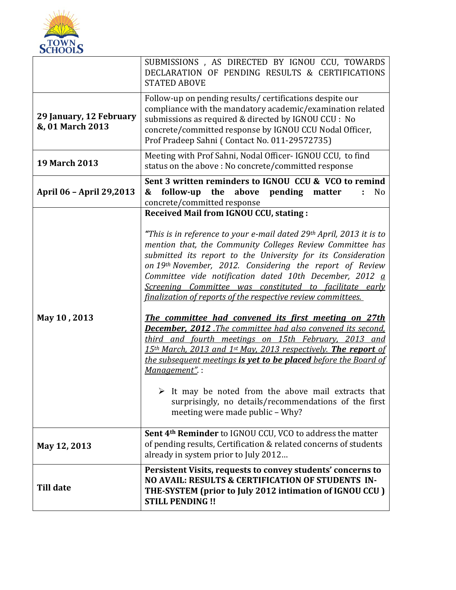

|                                             | SUBMISSIONS, AS DIRECTED BY IGNOU CCU, TOWARDS<br>DECLARATION OF PENDING RESULTS & CERTIFICATIONS<br><b>STATED ABOVE</b>                                                                                                                                                                                                                                                                                                                                                                                                                                                                                                                                                                                                                                                                                                                                                                                                                                                                                                         |
|---------------------------------------------|----------------------------------------------------------------------------------------------------------------------------------------------------------------------------------------------------------------------------------------------------------------------------------------------------------------------------------------------------------------------------------------------------------------------------------------------------------------------------------------------------------------------------------------------------------------------------------------------------------------------------------------------------------------------------------------------------------------------------------------------------------------------------------------------------------------------------------------------------------------------------------------------------------------------------------------------------------------------------------------------------------------------------------|
| 29 January, 12 February<br>&, 01 March 2013 | Follow-up on pending results/ certifications despite our<br>compliance with the mandatory academic/examination related<br>submissions as required & directed by IGNOU CCU : No<br>concrete/committed response by IGNOU CCU Nodal Officer,<br>Prof Pradeep Sahni (Contact No. 011-29572735)                                                                                                                                                                                                                                                                                                                                                                                                                                                                                                                                                                                                                                                                                                                                       |
| <b>19 March 2013</b>                        | Meeting with Prof Sahni, Nodal Officer- IGNOU CCU, to find<br>status on the above : No concrete/committed response                                                                                                                                                                                                                                                                                                                                                                                                                                                                                                                                                                                                                                                                                                                                                                                                                                                                                                               |
| April 06 - April 29,2013                    | Sent 3 written reminders to IGNOU CCU & VCO to remind<br>the above<br>pending<br>follow-up<br>&<br>N <sub>o</sub><br>matter<br>÷.<br>concrete/committed response                                                                                                                                                                                                                                                                                                                                                                                                                                                                                                                                                                                                                                                                                                                                                                                                                                                                 |
| May 10, 2013                                | <b>Received Mail from IGNOU CCU, stating:</b><br>"This is in reference to your e-mail dated 29th April, 2013 it is to<br>mention that, the Community Colleges Review Committee has<br>submitted its report to the University for its Consideration<br>on 19th November, 2012. Considering the report of Review<br>Committee vide notification dated 10th December, 2012 $\underline{a}$<br>Screening Committee was constituted to facilitate early<br>finalization of reports of the respective review committees.<br>The committee had convened its first meeting on 27th<br><b>December, 2012</b> .The committee had also convened its second.<br>third and fourth meetings on 15th February, 2013 and<br>15th March, 2013 and 1st May, 2013 respectively. The report of<br>the subsequent meetings is vet to be placed before the Board of<br>Management".:<br>$\triangleright$ It may be noted from the above mail extracts that<br>surprisingly, no details/recommendations of the first<br>meeting were made public - Why? |
| May 12, 2013                                | <b>Sent 4th Reminder</b> to IGNOU CCU, VCO to address the matter<br>of pending results, Certification & related concerns of students<br>already in system prior to July 2012                                                                                                                                                                                                                                                                                                                                                                                                                                                                                                                                                                                                                                                                                                                                                                                                                                                     |
| <b>Till date</b>                            | Persistent Visits, requests to convey students' concerns to<br>NO AVAIL: RESULTS & CERTIFICATION OF STUDENTS IN-<br>THE-SYSTEM (prior to July 2012 intimation of IGNOU CCU)<br><b>STILL PENDING!!</b>                                                                                                                                                                                                                                                                                                                                                                                                                                                                                                                                                                                                                                                                                                                                                                                                                            |